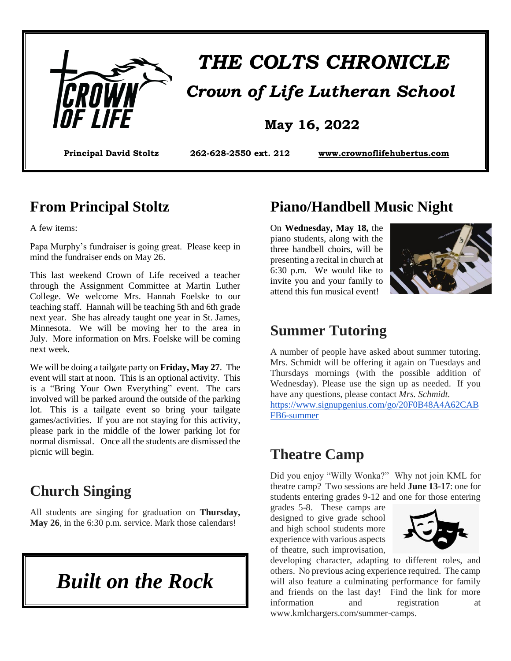

# *THE COLTS CHRONICLE Crown of Life Lutheran School*

#### **May 16, 2022**

**Principal David Stoltz 262-628-2550 ext. 212 [www.crownoflifehubertus.com](http://www.crownoflifehubertus.com/)**

#### **From Principal Stoltz**

A few items:

Papa Murphy's fundraiser is going great. Please keep in mind the fundraiser ends on May 26.

This last weekend Crown of Life received a teacher through the Assignment Committee at Martin Luther College. We welcome Mrs. Hannah Foelske to our teaching staff. Hannah will be teaching 5th and 6th grade next year. She has already taught one year in St. James, Minnesota. We will be moving her to the area in July. More information on Mrs. Foelske will be coming next week.

We will be doing a tailgate party on **Friday, May 27**. The event will start at noon. This is an optional activity. This is a "Bring Your Own Everything" event. The cars involved will be parked around the outside of the parking lot. This is a tailgate event so bring your tailgate games/activities. If you are not staying for this activity, please park in the middle of the lower parking lot for normal dismissal. Once all the students are dismissed the picnic will begin.

#### **Church Singing**

All students are singing for graduation on **Thursday, May 26**, in the 6:30 p.m. service. Mark those calendars!

*Built on the Rock*

#### **Piano/Handbell Music Night**

On **Wednesday, May 18,** the piano students, along with the three handbell choirs, will be presenting a recital in church at 6:30 p.m. We would like to invite you and your family to attend this fun musical event!



#### **Summer Tutoring**

A number of people have asked about summer tutoring. Mrs. Schmidt will be offering it again on Tuesdays and Thursdays mornings (with the possible addition of Wednesday). Please use the sign up as needed. If you have any questions, please contact *Mrs. Schmidt.*

[https://www.signupgenius.com/go/20F0B48A4A62CAB](https://www.signupgenius.com/go/20F0B48A4A62CABFB6-summer) [FB6-summer](https://www.signupgenius.com/go/20F0B48A4A62CABFB6-summer)

# **Theatre Camp**

Did you enjoy "Willy Wonka?" Why not join KML for theatre camp? Two sessions are held **June 13-17**: one for students entering grades 9-12 and one for those entering

grades 5-8. These camps are designed to give grade school and high school students more experience with various aspects of theatre, such improvisation,



developing character, adapting to different roles, and others. No previous acing experience required. The camp will also feature a culminating performance for family and friends on the last day! Find the link for more information and registration at www.kmlchargers.com/summer-camps.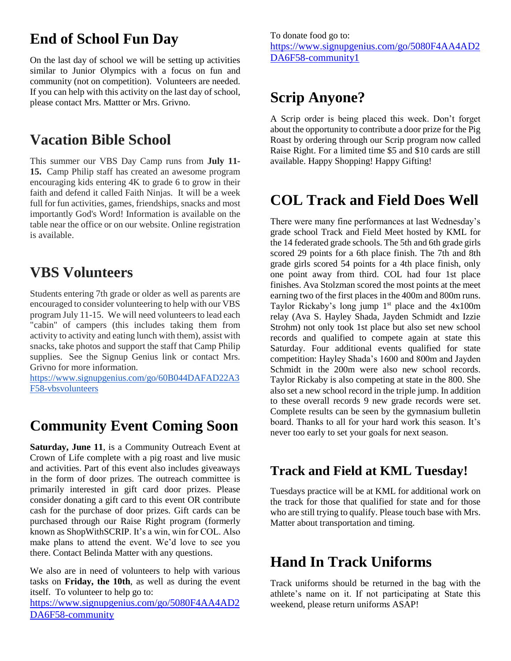# **End of School Fun Day**

On the last day of school we will be setting up activities similar to Junior Olympics with a focus on fun and community (not on competition). Volunteers are needed. If you can help with this activity on the last day of school, please contact Mrs. Mattter or Mrs. Grivno.

### **Vacation Bible School**

This summer our VBS Day Camp runs from **July 11- 15.** Camp Philip staff has created an awesome program encouraging kids entering 4K to grade 6 to grow in their faith and defend it called Faith Ninjas. It will be a week full for fun activities, games, friendships, snacks and most importantly God's Word! Information is available on the table near the office or on our website. Online registration is available.

# **VBS Volunteers**

Students entering 7th grade or older as well as parents are encouraged to consider volunteering to help with our VBS program July 11-15. We will need volunteers to lead each "cabin" of campers (this includes taking them from activity to activity and eating lunch with them), assist with snacks, take photos and support the staff that Camp Philip supplies. See the Signup Genius link or contact Mrs. Grivno for more information.

[https://www.signupgenius.com/go/60B044DAFAD22A3](https://www.signupgenius.com/go/60B044DAFAD22A3F58-vbsvolunteers) [F58-vbsvolunteers](https://www.signupgenius.com/go/60B044DAFAD22A3F58-vbsvolunteers)

# **Community Event Coming Soon**

**Saturday, June 11**, is a Community Outreach Event at Crown of Life complete with a pig roast and live music and activities. Part of this event also includes giveaways in the form of door prizes. The outreach committee is primarily interested in gift card door prizes. Please consider donating a gift card to this event OR contribute cash for the purchase of door prizes. Gift cards can be purchased through our Raise Right program (formerly known as ShopWithSCRIP. It's a win, win for COL. Also make plans to attend the event. We'd love to see you there. Contact Belinda Matter with any questions.

We also are in need of volunteers to help with various tasks on **Friday, the 10th**, as well as during the event itself. To volunteer to help go to:

[https://www.signupgenius.com/go/5080F4AA4AD2](https://www.signupgenius.com/go/5080F4AA4AD2DA6F58-community) [DA6F58-community](https://www.signupgenius.com/go/5080F4AA4AD2DA6F58-community)

To donate food go to: [https://www.signupgenius.com/go/5080F4AA4AD2](https://www.signupgenius.com/go/5080F4AA4AD2DA6F58-community1) [DA6F58-community1](https://www.signupgenius.com/go/5080F4AA4AD2DA6F58-community1)

#### **Scrip Anyone?**

A Scrip order is being placed this week. Don't forget about the opportunity to contribute a door prize for the Pig Roast by ordering through our Scrip program now called Raise Right. For a limited time \$5 and \$10 cards are still available. Happy Shopping! Happy Gifting!

#### **COL Track and Field Does Well**

There were many fine performances at last Wednesday's grade school Track and Field Meet hosted by KML for the 14 federated grade schools. The 5th and 6th grade girls scored 29 points for a 6th place finish. The 7th and 8th grade girls scored 54 points for a 4th place finish, only one point away from third. COL had four 1st place finishes. Ava Stolzman scored the most points at the meet earning two of the first places in the 400m and 800m runs. Taylor Rickaby's long jump  $1<sup>st</sup>$  place and the  $4x100m$ relay (Ava S. Hayley Shada, Jayden Schmidt and Izzie Strohm) not only took 1st place but also set new school records and qualified to compete again at state this Saturday. Four additional events qualified for state competition: Hayley Shada's 1600 and 800m and Jayden Schmidt in the 200m were also new school records. Taylor Rickaby is also competing at state in the 800. She also set a new school record in the triple jump. In addition to these overall records 9 new grade records were set. Complete results can be seen by the gymnasium bulletin board. Thanks to all for your hard work this season. It's never too early to set your goals for next season.

#### **Track and Field at KML Tuesday!**

Tuesdays practice will be at KML for additional work on the track for those that qualified for state and for those who are still trying to qualify. Please touch base with Mrs. Matter about transportation and timing.

#### **Hand In Track Uniforms**

Track uniforms should be returned in the bag with the athlete's name on it. If not participating at State this weekend, please return uniforms ASAP!